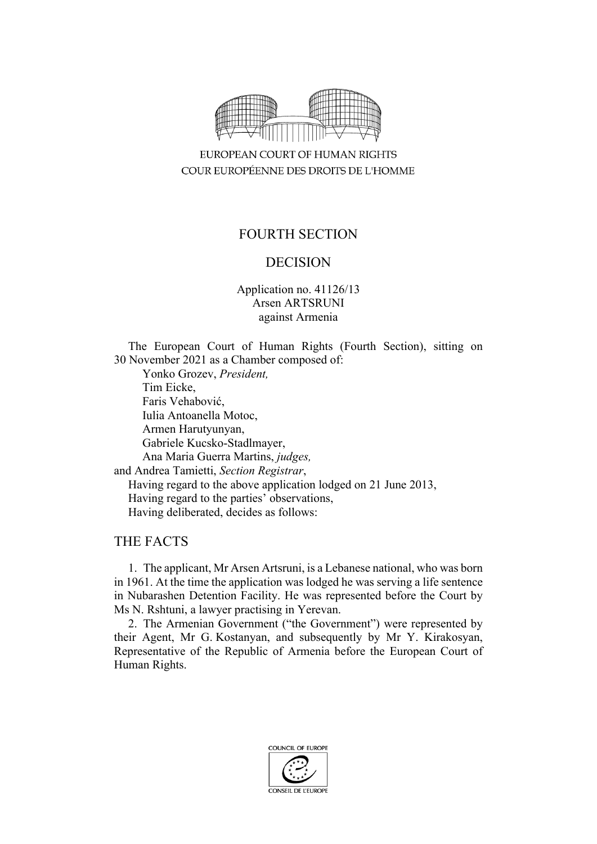

EUROPEAN COURT OF HUMAN RIGHTS COUR EUROPÉENNE DES DROITS DE L'HOMME

# FOURTH SECTION

# DECISION

Application no. 41126/13 Arsen ARTSRUNI against Armenia

The European Court of Human Rights (Fourth Section), sitting on 30 November 2021 as a Chamber composed of:

Yonko Grozev, *President,* Tim Eicke, Faris Vehabović, Iulia Antoanella Motoc, Armen Harutyunyan, Gabriele Kucsko-Stadlmayer, Ana Maria Guerra Martins, *judges,* and Andrea Tamietti, *Section Registrar*, Having regard to the above application lodged on 21 June 2013, Having regard to the parties' observations, Having deliberated, decides as follows:

# THE FACTS

1. The applicant, Mr Arsen Artsruni, is a Lebanese national, who was born in 1961. At the time the application was lodged he was serving a life sentence in Nubarashen Detention Facility. He was represented before the Court by Ms N. Rshtuni, a lawyer practising in Yerevan.

2. The Armenian Government ("the Government") were represented by their Agent, Mr G. Kostanyan, and subsequently by Mr Y. Kirakosyan, Representative of the Republic of Armenia before the European Court of Human Rights.

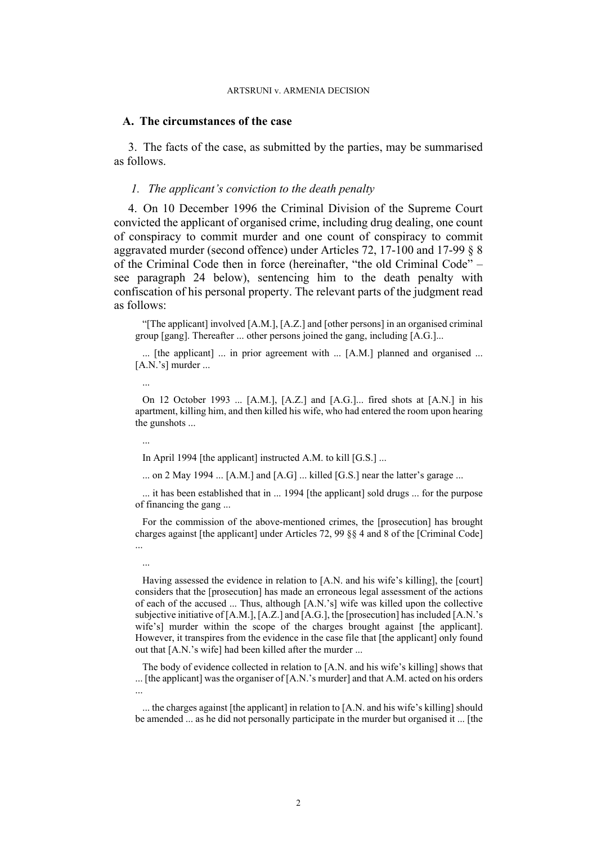### **A. The circumstances of the case**

3. The facts of the case, as submitted by the parties, may be summarised as follows.

### *1. The applicant's conviction to the death penalty*

<span id="page-1-0"></span>4. On 10 December 1996 the Criminal Division of the Supreme Court convicted the applicant of organised crime, including drug dealing, one count of conspiracy to commit murder and one count of conspiracy to commit aggravated murder (second offence) under Articles 72, 17-100 and 17-99 § 8 of the Criminal Code then in force (hereinafter, "the old Criminal Code" – see paragraph [24](#page-7-0) below), sentencing him to the death penalty with confiscation of his personal property. The relevant parts of the judgment read as follows:

"[The applicant] involved [A.M.], [A.Z.] and [other persons] in an organised criminal group [gang]. Thereafter ... other persons joined the gang, including [A.G.]...

... [the applicant] ... in prior agreement with ... [A.M.] planned and organised ...  $[A.N.'s]$  murder ...

On 12 October 1993 ... [A.M.], [A.Z.] and [A.G.]... fired shots at [A.N.] in his apartment, killing him, and then killed his wife, who had entered the room upon hearing the gunshots ...

...

...

...

In April 1994 [the applicant] instructed A.M. to kill [G.S.] ...

... on 2 May 1994 ... [A.M.] and [A.G] ... killed [G.S.] near the latter's garage ...

... it has been established that in ... 1994 [the applicant] sold drugs ... for the purpose of financing the gang ...

For the commission of the above-mentioned crimes, the [prosecution] has brought charges against [the applicant] under Articles 72, 99 §§ 4 and 8 of the [Criminal Code] ...

Having assessed the evidence in relation to [A.N. and his wife's killing], the [court] considers that the [prosecution] has made an erroneous legal assessment of the actions of each of the accused ... Thus, although [A.N.'s] wife was killed upon the collective subjective initiative of [A.M.], [A.Z.] and [A.G.], the [prosecution] has included [A.N.'s wife's] murder within the scope of the charges brought against [the applicant]. However, it transpires from the evidence in the case file that [the applicant] only found out that [A.N.'s wife] had been killed after the murder ...

The body of evidence collected in relation to [A.N. and his wife's killing] shows that ... [the applicant] was the organiser of [A.N.'s murder] and that A.M. acted on his orders ...

... the charges against [the applicant] in relation to [A.N. and his wife's killing] should be amended ... as he did not personally participate in the murder but organised it ... [the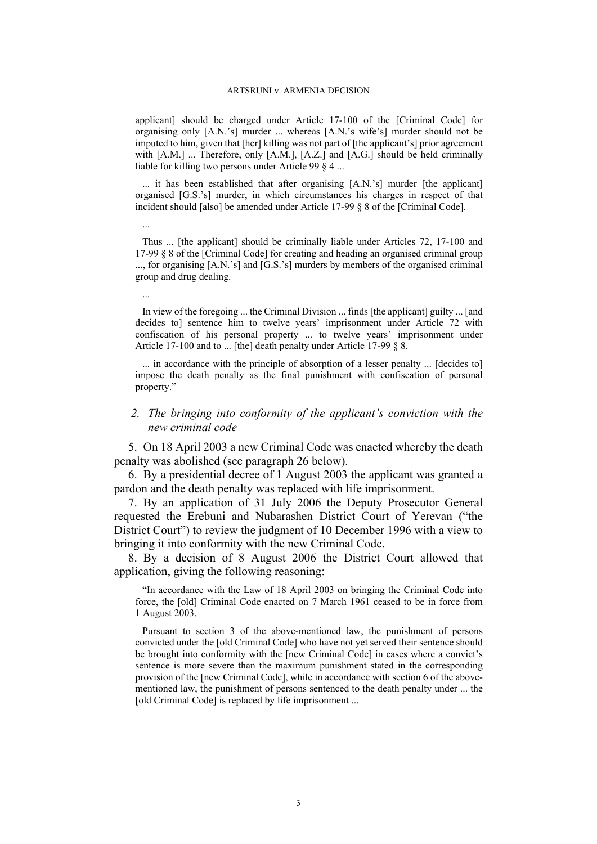applicant] should be charged under Article 17-100 of the [Criminal Code] for organising only [A.N.'s] murder ... whereas [A.N.'s wife's] murder should not be imputed to him, given that [her] killing was not part of [the applicant's] prior agreement with  $[A,M]$  ... Therefore, only  $[A,M]$ ,  $[A,Z]$  and  $[A,G]$  should be held criminally liable for killing two persons under Article 99 § 4 ...

... it has been established that after organising [A.N.'s] murder [the applicant] organised [G.S.'s] murder, in which circumstances his charges in respect of that incident should [also] be amended under Article 17-99 § 8 of the [Criminal Code].

Thus ... [the applicant] should be criminally liable under Articles 72, 17-100 and 17-99 § 8 of the [Criminal Code] for creating and heading an organised criminal group ..., for organising [A.N.'s] and [G.S.'s] murders by members of the organised criminal group and drug dealing.

...

...

In view of the foregoing ... the Criminal Division ... finds [the applicant] guilty ... [and decides to] sentence him to twelve years' imprisonment under Article 72 with confiscation of his personal property ... to twelve years' imprisonment under Article 17-100 and to ... [the] death penalty under Article 17-99 § 8.

... in accordance with the principle of absorption of a lesser penalty ... [decides to] impose the death penalty as the final punishment with confiscation of personal property."

# *2. The bringing into conformity of the applicant's conviction with the new criminal code*

<span id="page-2-1"></span>5. On 18 April 2003 a new Criminal Code was enacted whereby the death penalty was abolished (see paragraph [26](#page-8-0) below).

<span id="page-2-2"></span>6. By a presidential decree of 1 August 2003 the applicant was granted a pardon and the death penalty was replaced with life imprisonment.

7. By an application of 31 July 2006 the Deputy Prosecutor General requested the Erebuni and Nubarashen District Court of Yerevan ("the District Court") to review the judgment of 10 December 1996 with a view to bringing it into conformity with the new Criminal Code.

<span id="page-2-0"></span>8. By a decision of 8 August 2006 the District Court allowed that application, giving the following reasoning:

"In accordance with the Law of 18 April 2003 on bringing the Criminal Code into force, the [old] Criminal Code enacted on 7 March 1961 ceased to be in force from 1 August 2003.

Pursuant to section 3 of the above-mentioned law, the punishment of persons convicted under the [old Criminal Code] who have not yet served their sentence should be brought into conformity with the [new Criminal Code] in cases where a convict's sentence is more severe than the maximum punishment stated in the corresponding provision of the [new Criminal Code], while in accordance with section 6 of the abovementioned law, the punishment of persons sentenced to the death penalty under ... the [old Criminal Code] is replaced by life imprisonment ...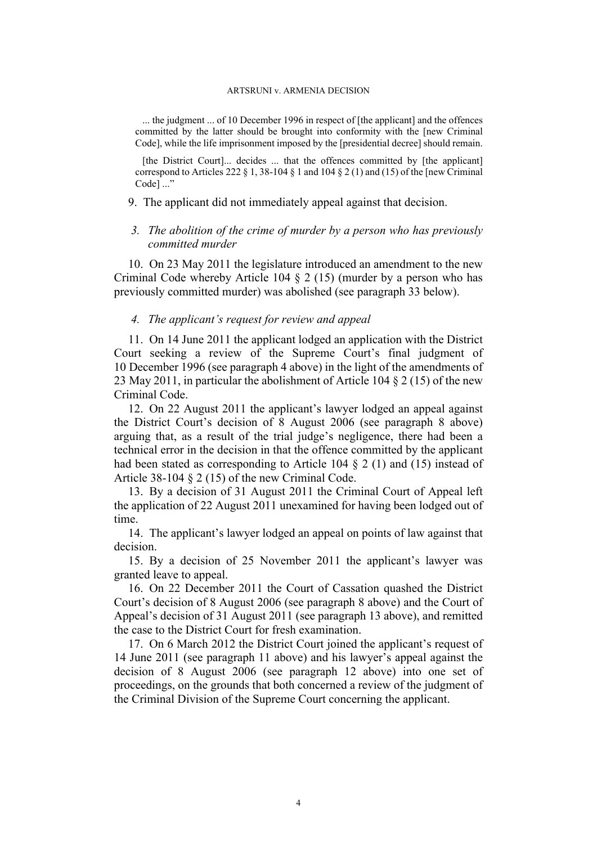... the judgment ... of 10 December 1996 in respect of [the applicant] and the offences committed by the latter should be brought into conformity with the [new Criminal Code], while the life imprisonment imposed by the [presidential decree] should remain.

[the District Court]... decides ... that the offences committed by [the applicant] correspond to Articles 222  $\S$  1, 38-104  $\S$  1 and 104  $\S$  2 (1) and (15) of the [new Criminal Codel ..."

### 9. The applicant did not immediately appeal against that decision.

# *3. The abolition of the crime of murder by a person who has previously committed murder*

<span id="page-3-3"></span>10. On 23 May 2011 the legislature introduced an amendment to the new Criminal Code whereby Article 104 § 2 (15) (murder by a person who has previously committed murder) was abolished (see paragraph [33](#page-10-0) below).

## *4. The applicant's request for review and appeal*

<span id="page-3-1"></span>11. On 14 June 2011 the applicant lodged an application with the District Court seeking a review of the Supreme Court's final judgment of 10 December 1996 (see paragraph [4](#page-1-0) above) in the light of the amendments of 23 May 2011, in particular the abolishment of Article 104 § 2 (15) of the new Criminal Code.

<span id="page-3-2"></span>12. On 22 August 2011 the applicant's lawyer lodged an appeal against the District Court's decision of 8 August 2006 (see paragraph [8](#page-2-0) above) arguing that, as a result of the trial judge's negligence, there had been a technical error in the decision in that the offence committed by the applicant had been stated as corresponding to Article 104  $\S$  2 (1) and (15) instead of Article 38-104 § 2 (15) of the new Criminal Code.

<span id="page-3-0"></span>13. By a decision of 31 August 2011 the Criminal Court of Appeal left the application of 22 August 2011 unexamined for having been lodged out of time.

14. The applicant's lawyer lodged an appeal on points of law against that decision.

15. By a decision of 25 November 2011 the applicant's lawyer was granted leave to appeal.

<span id="page-3-4"></span>16. On 22 December 2011 the Court of Cassation quashed the District Court's decision of 8 August 2006 (see paragraph [8](#page-2-0) above) and the Court of Appeal's decision of 31 August 2011 (see paragraph [13](#page-3-0) above), and remitted the case to the District Court for fresh examination.

17. On 6 March 2012 the District Court joined the applicant's request of 14 June 2011 (see paragraph [11](#page-3-1) above) and his lawyer's appeal against the decision of 8 August 2006 (see paragraph [12](#page-3-2) above) into one set of proceedings, on the grounds that both concerned a review of the judgment of the Criminal Division of the Supreme Court concerning the applicant.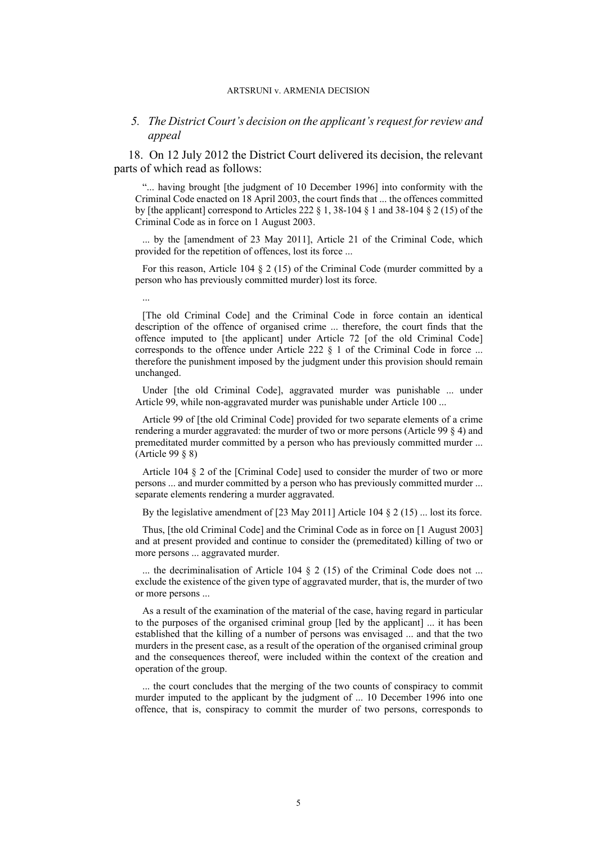### *5. The District Court's decision on the applicant's request for review and appeal*

<span id="page-4-0"></span>18. On 12 July 2012 the District Court delivered its decision, the relevant parts of which read as follows:

"... having brought [the judgment of 10 December 1996] into conformity with the Criminal Code enacted on 18 April 2003, the court finds that ... the offences committed by [the applicant] correspond to Articles 222 § 1, 38-104 § 1 and 38-104 § 2 (15) of the Criminal Code as in force on 1 August 2003.

... by the [amendment of 23 May 2011], Article 21 of the Criminal Code, which provided for the repetition of offences, lost its force ...

For this reason, Article 104 § 2 (15) of the Criminal Code (murder committed by a person who has previously committed murder) lost its force.

...

[The old Criminal Code] and the Criminal Code in force contain an identical description of the offence of organised crime ... therefore, the court finds that the offence imputed to [the applicant] under Article 72 [of the old Criminal Code] corresponds to the offence under Article 222  $\S$  1 of the Criminal Code in force ... therefore the punishment imposed by the judgment under this provision should remain unchanged.

Under [the old Criminal Code], aggravated murder was punishable ... under Article 99, while non-aggravated murder was punishable under Article 100 ...

Article 99 of [the old Criminal Code] provided for two separate elements of a crime rendering a murder aggravated: the murder of two or more persons (Article 99 § 4) and premeditated murder committed by a person who has previously committed murder ... (Article 99 § 8)

Article 104 § 2 of the [Criminal Code] used to consider the murder of two or more persons ... and murder committed by a person who has previously committed murder ... separate elements rendering a murder aggravated.

By the legislative amendment of  $[23 \text{ May } 2011]$  Article 104  $\S 2$  (15) ... lost its force.

Thus, [the old Criminal Code] and the Criminal Code as in force on [1 August 2003] and at present provided and continue to consider the (premeditated) killing of two or more persons ... aggravated murder.

... the decriminalisation of Article 104 § 2 (15) of the Criminal Code does not ... exclude the existence of the given type of aggravated murder, that is, the murder of two or more persons ...

As a result of the examination of the material of the case, having regard in particular to the purposes of the organised criminal group [led by the applicant] ... it has been established that the killing of a number of persons was envisaged ... and that the two murders in the present case, as a result of the operation of the organised criminal group and the consequences thereof, were included within the context of the creation and operation of the group.

... the court concludes that the merging of the two counts of conspiracy to commit murder imputed to the applicant by the judgment of ... 10 December 1996 into one offence, that is, conspiracy to commit the murder of two persons, corresponds to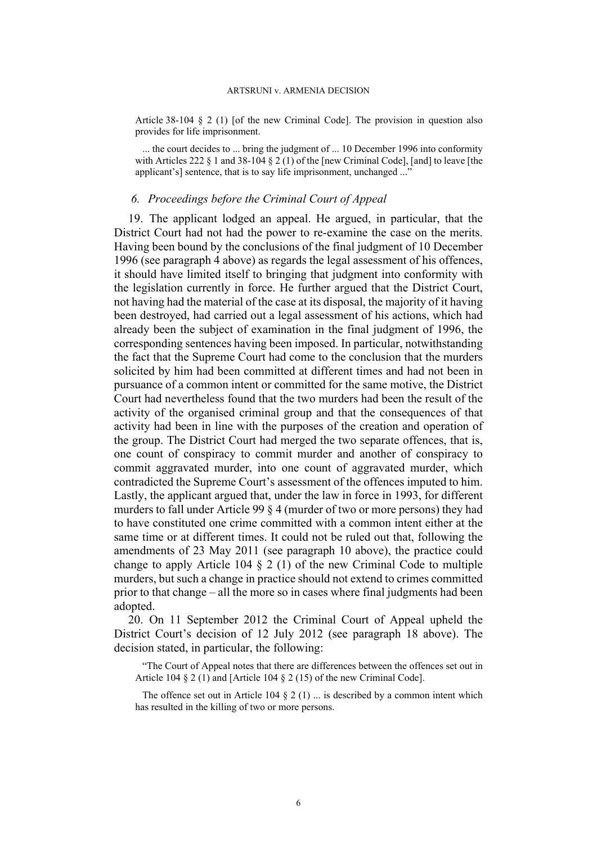Article 38-104 § 2 (1) [of the new Criminal Code]. The provision in question also provides for life imprisonment.

... the court decides to ... bring the judgment of ... 10 December 1996 into conformity with Articles 222 § 1 and 38-104 § 2 (1) of the [new Criminal Code], [and] to leave [the applicant's] sentence, that is to say life imprisonment, unchanged ..."

# *6. Proceedings before the Criminal Court of Appeal*

<span id="page-5-0"></span>19. The applicant lodged an appeal. He argued, in particular, that the District Court had not had the power to re-examine the case on the merits. Having been bound by the conclusions of the final judgment of 10 December 1996 (see paragraph [4](#page-1-0) above) as regards the legal assessment of his offences, it should have limited itself to bringing that judgment into conformity with the legislation currently in force. He further argued that the District Court, not having had the material of the case at its disposal, the majority of it having been destroyed, had carried out a legal assessment of his actions, which had already been the subject of examination in the final judgment of 1996, the corresponding sentences having been imposed. In particular, notwithstanding the fact that the Supreme Court had come to the conclusion that the murders solicited by him had been committed at different times and had not been in pursuance of a common intent or committed for the same motive, the District Court had nevertheless found that the two murders had been the result of the activity of the organised criminal group and that the consequences of that activity had been in line with the purposes of the creation and operation of the group. The District Court had merged the two separate offences, that is, one count of conspiracy to commit murder and another of conspiracy to commit aggravated murder, into one count of aggravated murder, which contradicted the Supreme Court's assessment of the offences imputed to him. Lastly, the applicant argued that, under the law in force in 1993, for different murders to fall under Article 99 § 4 (murder of two or more persons) they had to have constituted one crime committed with a common intent either at the same time or at different times. It could not be ruled out that, following the amendments of 23 May 2011 (see paragraph [10](#page-3-3) above), the practice could change to apply Article 104  $\S$  2 (1) of the new Criminal Code to multiple murders, but such a change in practice should not extend to crimes committed prior to that change – all the more so in cases where final judgments had been adopted.

<span id="page-5-1"></span>20. On 11 September 2012 the Criminal Court of Appeal upheld the District Court's decision of 12 July 2012 (see paragraph [18](#page-4-0) above). The decision stated, in particular, the following:

"The Court of Appeal notes that there are differences between the offences set out in Article 104  $\S 2$  (1) and [Article 104  $\S 2$  (15) of the new Criminal Code].

The offence set out in Article 104  $\S$  2 (1) ... is described by a common intent which has resulted in the killing of two or more persons.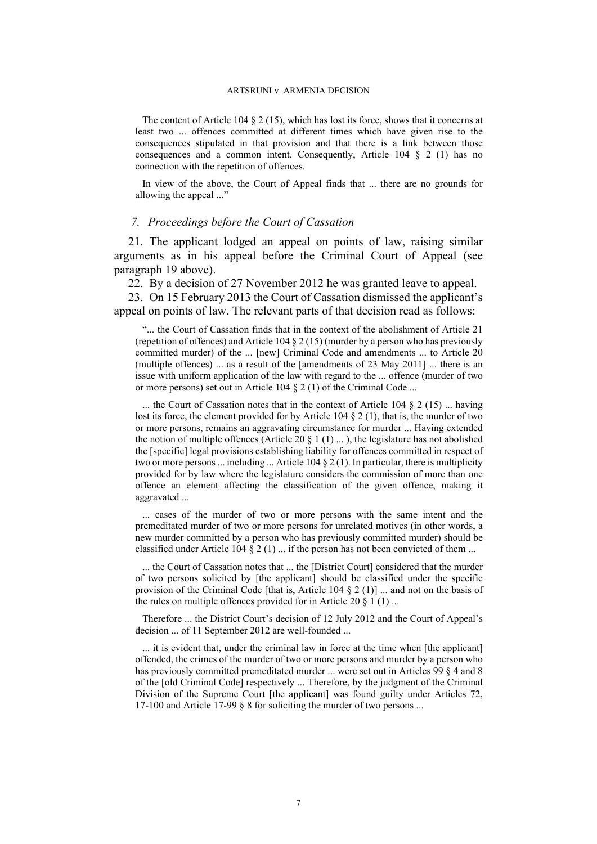The content of Article 104 § 2 (15), which has lost its force, shows that it concerns at least two ... offences committed at different times which have given rise to the consequences stipulated in that provision and that there is a link between those consequences and a common intent. Consequently, Article 104  $\S$  2 (1) has no connection with the repetition of offences.

In view of the above, the Court of Appeal finds that ... there are no grounds for allowing the appeal ..."

# *7. Proceedings before the Court of Cassation*

<span id="page-6-1"></span>21. The applicant lodged an appeal on points of law, raising similar arguments as in his appeal before the Criminal Court of Appeal (see paragraph [19](#page-5-0) above).

<span id="page-6-0"></span>22. By a decision of 27 November 2012 he was granted leave to appeal.

23. On 15 February 2013 the Court of Cassation dismissed the applicant's appeal on points of law. The relevant parts of that decision read as follows:

"... the Court of Cassation finds that in the context of the abolishment of Article 21 (repetition of offences) and Article 104  $\S 2$  (15) (murder by a person who has previously committed murder) of the ... [new] Criminal Code and amendments ... to Article 20 (multiple offences) ... as a result of the [amendments of 23 May 2011] ... there is an issue with uniform application of the law with regard to the ... offence (murder of two or more persons) set out in Article 104 § 2 (1) of the Criminal Code ...

... the Court of Cassation notes that in the context of Article 104  $\S 2$  (15) ... having lost its force, the element provided for by Article 104  $\S$  2 (1), that is, the murder of two or more persons, remains an aggravating circumstance for murder ... Having extended the notion of multiple offences (Article 20  $\S$  1 (1) ...), the legislature has not abolished the [specific] legal provisions establishing liability for offences committed in respect of two or more persons ... including ... Article 104  $\S 2(1)$ . In particular, there is multiplicity provided for by law where the legislature considers the commission of more than one offence an element affecting the classification of the given offence, making it aggravated ...

... cases of the murder of two or more persons with the same intent and the premeditated murder of two or more persons for unrelated motives (in other words, a new murder committed by a person who has previously committed murder) should be classified under Article 104  $\S 2(1)$  ... if the person has not been convicted of them ...

... the Court of Cassation notes that ... the [District Court] considered that the murder of two persons solicited by [the applicant] should be classified under the specific provision of the Criminal Code [that is, Article 104 § 2 (1)] ... and not on the basis of the rules on multiple offences provided for in Article 20  $\S$  1 (1) ...

Therefore ... the District Court's decision of 12 July 2012 and the Court of Appeal's decision ... of 11 September 2012 are well-founded ...

... it is evident that, under the criminal law in force at the time when [the applicant] offended, the crimes of the murder of two or more persons and murder by a person who has previously committed premeditated murder ... were set out in Articles 99 § 4 and 8 of the [old Criminal Code] respectively ... Therefore, by the judgment of the Criminal Division of the Supreme Court [the applicant] was found guilty under Articles 72, 17-100 and Article 17-99 § 8 for soliciting the murder of two persons ...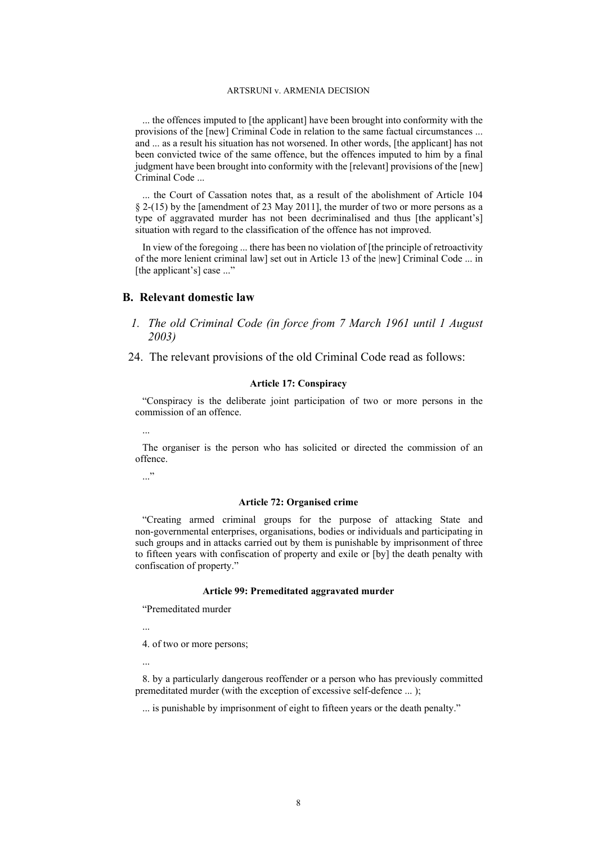... the offences imputed to [the applicant] have been brought into conformity with the provisions of the [new] Criminal Code in relation to the same factual circumstances ... and ... as a result his situation has not worsened. In other words, [the applicant] has not been convicted twice of the same offence, but the offences imputed to him by a final judgment have been brought into conformity with the [relevant] provisions of the [new] Criminal Code ...

... the Court of Cassation notes that, as a result of the abolishment of Article 104 § 2-(15) by the [amendment of 23 May 2011], the murder of two or more persons as a type of aggravated murder has not been decriminalised and thus [the applicant's] situation with regard to the classification of the offence has not improved.

In view of the foregoing ... there has been no violation of [the principle of retroactivity of the more lenient criminal law] set out in Article 13 of the |new] Criminal Code ... in [the applicant's] case ..."

### **B. Relevant domestic law**

- *1. The old Criminal Code (in force from 7 March 1961 until 1 August 2003)*
- <span id="page-7-0"></span>24. The relevant provisions of the old Criminal Code read as follows:

### **Article 17: Conspiracy**

"Conspiracy is the deliberate joint participation of two or more persons in the commission of an offence.

...

The organiser is the person who has solicited or directed the commission of an offence.

..."

#### **Article 72: Organised crime**

"Creating armed criminal groups for the purpose of attacking State and non-governmental enterprises, organisations, bodies or individuals and participating in such groups and in attacks carried out by them is punishable by imprisonment of three to fifteen years with confiscation of property and exile or [by] the death penalty with confiscation of property."

### **Article 99: Premeditated aggravated murder**

"Premeditated murder

...

4. of two or more persons;

...

8. by a particularly dangerous reoffender or a person who has previously committed premeditated murder (with the exception of excessive self-defence ... );

... is punishable by imprisonment of eight to fifteen years or the death penalty."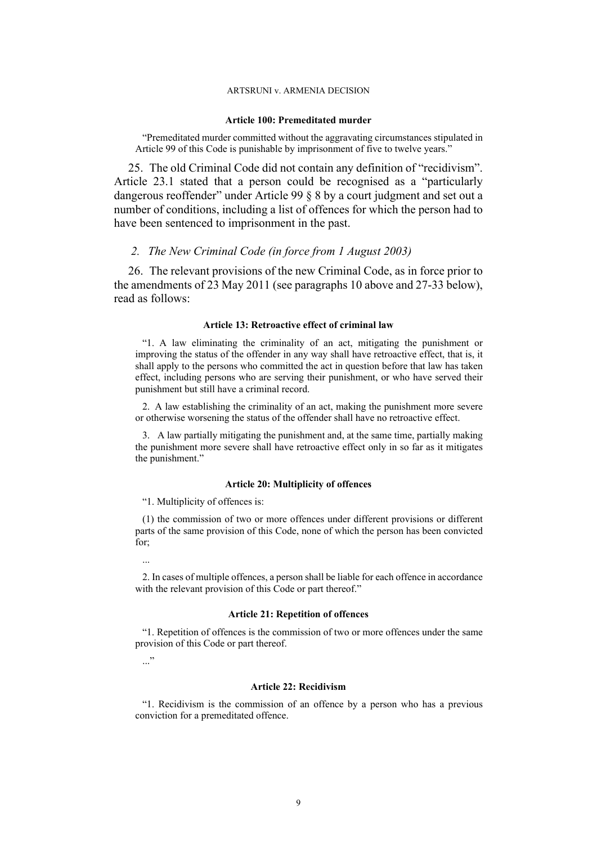#### **Article 100: Premeditated murder**

"Premeditated murder committed without the aggravating circumstances stipulated in Article 99 of this Code is punishable by imprisonment of five to twelve years."

25. The old Criminal Code did not contain any definition of "recidivism". Article 23.1 stated that a person could be recognised as a "particularly dangerous reoffender" under Article 99 § 8 by a court judgment and set out a number of conditions, including a list of offences for which the person had to have been sentenced to imprisonment in the past.

### *2. The New Criminal Code (in force from 1 August 2003)*

<span id="page-8-0"></span>26. The relevant provisions of the new Criminal Code, as in force prior to the amendments of 23 May 2011 (see paragraphs [10](#page-3-3) above and [27-](#page-9-0)[33](#page-10-0) below), read as follows:

### **Article 13: Retroactive effect of criminal law**

"1. A law eliminating the criminality of an act, mitigating the punishment or improving the status of the offender in any way shall have retroactive effect, that is, it shall apply to the persons who committed the act in question before that law has taken effect, including persons who are serving their punishment, or who have served their punishment but still have a criminal record.

2. A law establishing the criminality of an act, making the punishment more severe or otherwise worsening the status of the offender shall have no retroactive effect.

3. A law partially mitigating the punishment and, at the same time, partially making the punishment more severe shall have retroactive effect only in so far as it mitigates the punishment."

#### **Article 20: Multiplicity of offences**

"1. Multiplicity of offences is:

(1) the commission of two or more offences under different provisions or different parts of the same provision of this Code, none of which the person has been convicted for;

...

2. In cases of multiple offences, a person shall be liable for each offence in accordance with the relevant provision of this Code or part thereof."

### **Article 21: Repetition of offences**

"1. Repetition of offences is the commission of two or more offences under the same provision of this Code or part thereof.

..."

### **Article 22: Recidivism**

"1. Recidivism is the commission of an offence by a person who has a previous conviction for a premeditated offence.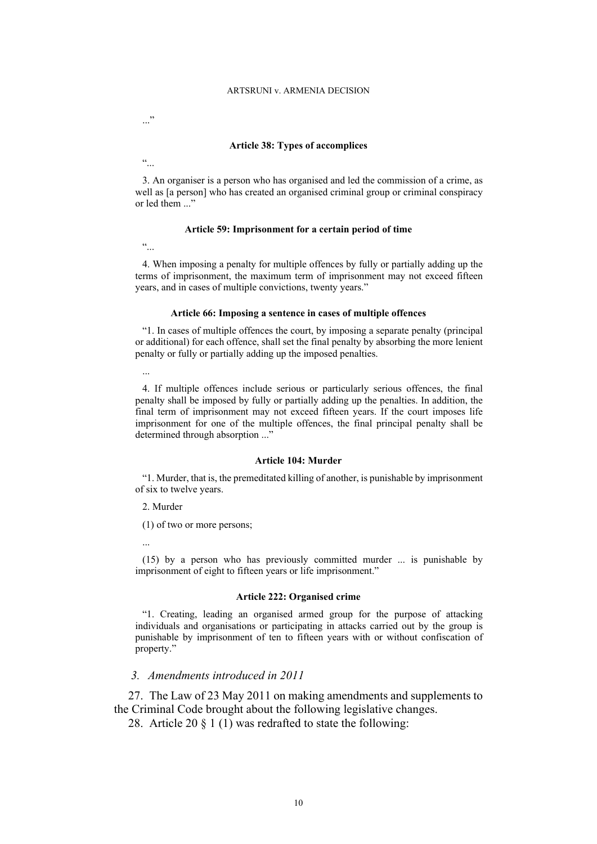$\cdots$ 

"...

### **Article 38: Types of accomplices**

3. An organiser is a person who has organised and led the commission of a crime, as well as [a person] who has created an organised criminal group or criminal conspiracy or led them  $\dddot{m}$ 

#### **Article 59: Imprisonment for a certain period of time**

 $\ddot{\cdot}$ 

4. When imposing a penalty for multiple offences by fully or partially adding up the terms of imprisonment, the maximum term of imprisonment may not exceed fifteen years, and in cases of multiple convictions, twenty years."

### **Article 66: Imposing a sentence in cases of multiple offences**

"1. In cases of multiple offences the court, by imposing a separate penalty (principal or additional) for each offence, shall set the final penalty by absorbing the more lenient penalty or fully or partially adding up the imposed penalties.

...

4. If multiple offences include serious or particularly serious offences, the final penalty shall be imposed by fully or partially adding up the penalties. In addition, the final term of imprisonment may not exceed fifteen years. If the court imposes life imprisonment for one of the multiple offences, the final principal penalty shall be determined through absorption ..."

### **Article 104: Murder**

"1. Murder, that is, the premeditated killing of another, is punishable by imprisonment of six to twelve years.

2. Murder

(1) of two or more persons;

...

(15) by a person who has previously committed murder ... is punishable by imprisonment of eight to fifteen years or life imprisonment."

### **Article 222: Organised crime**

"1. Creating, leading an organised armed group for the purpose of attacking individuals and organisations or participating in attacks carried out by the group is punishable by imprisonment of ten to fifteen years with or without confiscation of property."

### *3. Amendments introduced in 2011*

<span id="page-9-0"></span>27. The Law of 23 May 2011 on making amendments and supplements to the Criminal Code brought about the following legislative changes.

<span id="page-9-1"></span>28. Article 20 § 1 (1) was redrafted to state the following: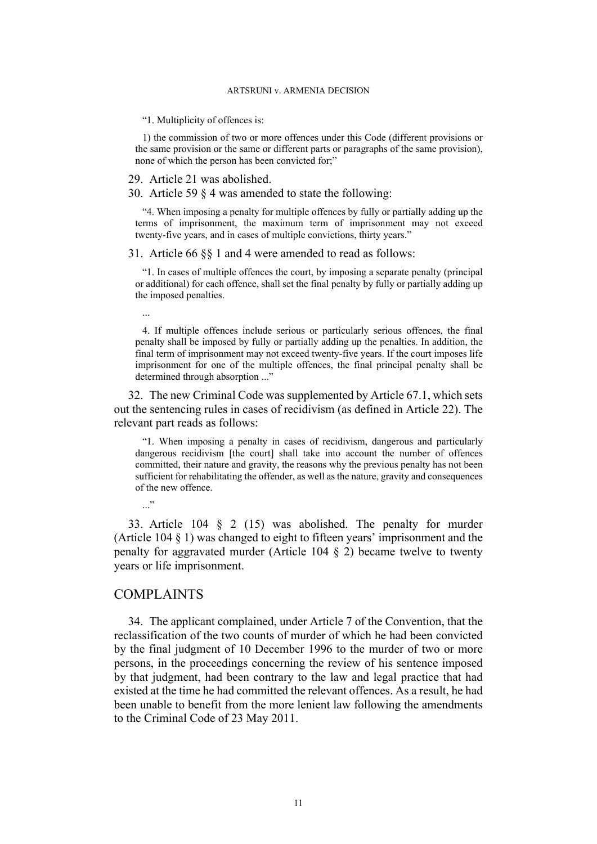"1. Multiplicity of offences is:

1) the commission of two or more offences under this Code (different provisions or the same provision or the same or different parts or paragraphs of the same provision), none of which the person has been convicted for;"

#### <span id="page-10-1"></span>29. Article 21 was abolished.

<span id="page-10-2"></span>30. Article 59 § 4 was amended to state the following:

"4. When imposing a penalty for multiple offences by fully or partially adding up the terms of imprisonment, the maximum term of imprisonment may not exceed twenty-five years, and in cases of multiple convictions, thirty years."

<span id="page-10-3"></span>31. Article 66 §§ 1 and 4 were amended to read as follows:

"1. In cases of multiple offences the court, by imposing a separate penalty (principal or additional) for each offence, shall set the final penalty by fully or partially adding up the imposed penalties.

4. If multiple offences include serious or particularly serious offences, the final penalty shall be imposed by fully or partially adding up the penalties. In addition, the final term of imprisonment may not exceed twenty-five years. If the court imposes life imprisonment for one of the multiple offences, the final principal penalty shall be determined through absorption ..."

32. The new Criminal Code was supplemented by Article 67.1, which sets out the sentencing rules in cases of recidivism (as defined in Article 22). The relevant part reads as follows:

"1. When imposing a penalty in cases of recidivism, dangerous and particularly dangerous recidivism [the court] shall take into account the number of offences committed, their nature and gravity, the reasons why the previous penalty has not been sufficient for rehabilitating the offender, as well as the nature, gravity and consequences of the new offence.

 $\cdot$ ..."

...

<span id="page-10-0"></span>33. Article 104 § 2 (15) was abolished. The penalty for murder (Article 104 § 1) was changed to eight to fifteen years' imprisonment and the penalty for aggravated murder (Article 104 § 2) became twelve to twenty years or life imprisonment.

## COMPLAINTS

34. The applicant complained, under Article 7 of the Convention, that the reclassification of the two counts of murder of which he had been convicted by the final judgment of 10 December 1996 to the murder of two or more persons, in the proceedings concerning the review of his sentence imposed by that judgment, had been contrary to the law and legal practice that had existed at the time he had committed the relevant offences. As a result, he had been unable to benefit from the more lenient law following the amendments to the Criminal Code of 23 May 2011.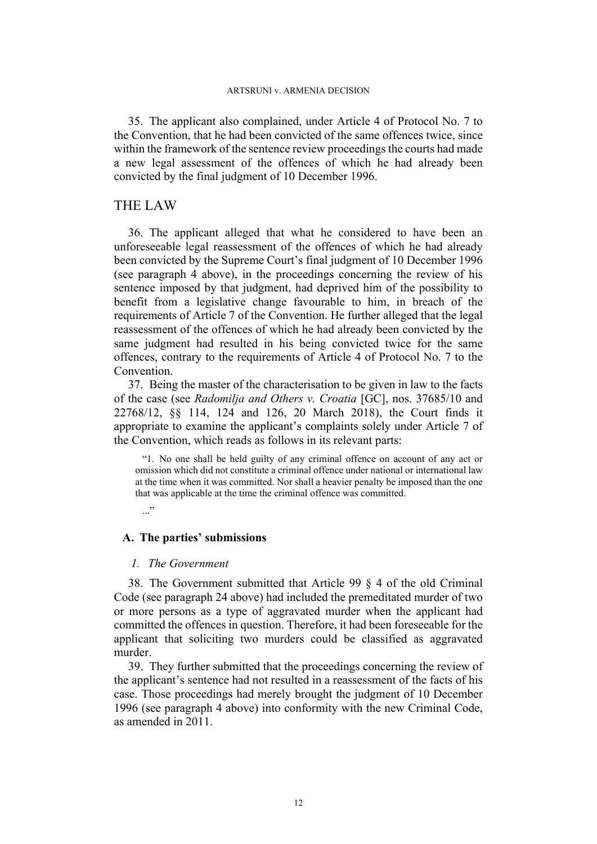35. The applicant also complained, under Article 4 of Protocol No. 7 to the Convention, that he had been convicted of the same offences twice, since within the framework of the sentence review proceedings the courts had made a new legal assessment of the offences of which he had already been convicted by the final judgment of 10 December 1996.

# THE LAW

36. The applicant alleged that what he considered to have been an unforeseeable legal reassessment of the offences of which he had already been convicted by the Supreme Court's final judgment of 10 December 1996 (see paragraph [4](#page-1-0) above), in the proceedings concerning the review of his sentence imposed by that judgment, had deprived him of the possibility to benefit from a legislative change favourable to him, in breach of the requirements of Article 7 of the Convention. He further alleged that the legal reassessment of the offences of which he had already been convicted by the same judgment had resulted in his being convicted twice for the same offences, contrary to the requirements of Article 4 of Protocol No. 7 to the Convention.

37. Being the master of the characterisation to be given in law to the facts of the case (see *Radomilja and Others v. Croatia* [GC], nos. 37685/10 and 22768/12, §§ 114, 124 and 126, 20 March 2018), the Court finds it appropriate to examine the applicant's complaints solely under Article 7 of the Convention, which reads as follows in its relevant parts:

"1. No one shall be held guilty of any criminal offence on account of any act or omission which did not constitute a criminal offence under national or international law at the time when it was committed. Nor shall a heavier penalty be imposed than the one that was applicable at the time the criminal offence was committed.

 $\cdot$ ..."

# **A. The parties' submissions**

### *1. The Government*

38. The Government submitted that Article 99 § 4 of the old Criminal Code (see paragraph [24](#page-7-0) above) had included the premeditated murder of two or more persons as a type of aggravated murder when the applicant had committed the offences in question. Therefore, it had been foreseeable for the applicant that soliciting two murders could be classified as aggravated murder.

39. They further submitted that the proceedings concerning the review of the applicant's sentence had not resulted in a reassessment of the facts of his case. Those proceedings had merely brought the judgment of 10 December 1996 (see paragraph [4](#page-1-0) above) into conformity with the new Criminal Code, as amended in 2011.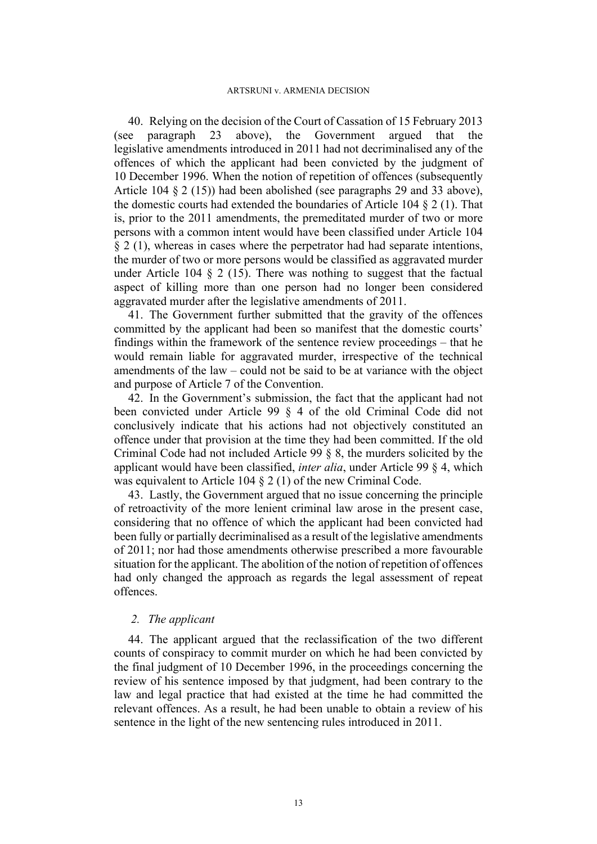40. Relying on the decision of the Court of Cassation of 15 February 2013 (see paragraph [23](#page-6-0) above), the Government argued that the legislative amendments introduced in 2011 had not decriminalised any of the offences of which the applicant had been convicted by the judgment of 10 December 1996. When the notion of repetition of offences (subsequently Article 104 § 2 (15)) had been abolished (see paragraphs [29](#page-10-1) and [33](#page-10-0) above), the domestic courts had extended the boundaries of Article 104 § 2 (1). That is, prior to the 2011 amendments, the premeditated murder of two or more persons with a common intent would have been classified under Article 104 § 2 (1), whereas in cases where the perpetrator had had separate intentions, the murder of two or more persons would be classified as aggravated murder under Article 104 § 2 (15). There was nothing to suggest that the factual aspect of killing more than one person had no longer been considered aggravated murder after the legislative amendments of 2011.

41. The Government further submitted that the gravity of the offences committed by the applicant had been so manifest that the domestic courts' findings within the framework of the sentence review proceedings – that he would remain liable for aggravated murder, irrespective of the technical amendments of the law – could not be said to be at variance with the object and purpose of Article 7 of the Convention.

42. In the Government's submission, the fact that the applicant had not been convicted under Article 99 § 4 of the old Criminal Code did not conclusively indicate that his actions had not objectively constituted an offence under that provision at the time they had been committed. If the old Criminal Code had not included Article 99 § 8, the murders solicited by the applicant would have been classified, *inter alia*, under Article 99 § 4, which was equivalent to Article 104 § 2 (1) of the new Criminal Code.

43. Lastly, the Government argued that no issue concerning the principle of retroactivity of the more lenient criminal law arose in the present case, considering that no offence of which the applicant had been convicted had been fully or partially decriminalised as a result of the legislative amendments of 2011; nor had those amendments otherwise prescribed a more favourable situation for the applicant. The abolition of the notion of repetition of offences had only changed the approach as regards the legal assessment of repeat offences.

# *2. The applicant*

44. The applicant argued that the reclassification of the two different counts of conspiracy to commit murder on which he had been convicted by the final judgment of 10 December 1996, in the proceedings concerning the review of his sentence imposed by that judgment, had been contrary to the law and legal practice that had existed at the time he had committed the relevant offences. As a result, he had been unable to obtain a review of his sentence in the light of the new sentencing rules introduced in 2011.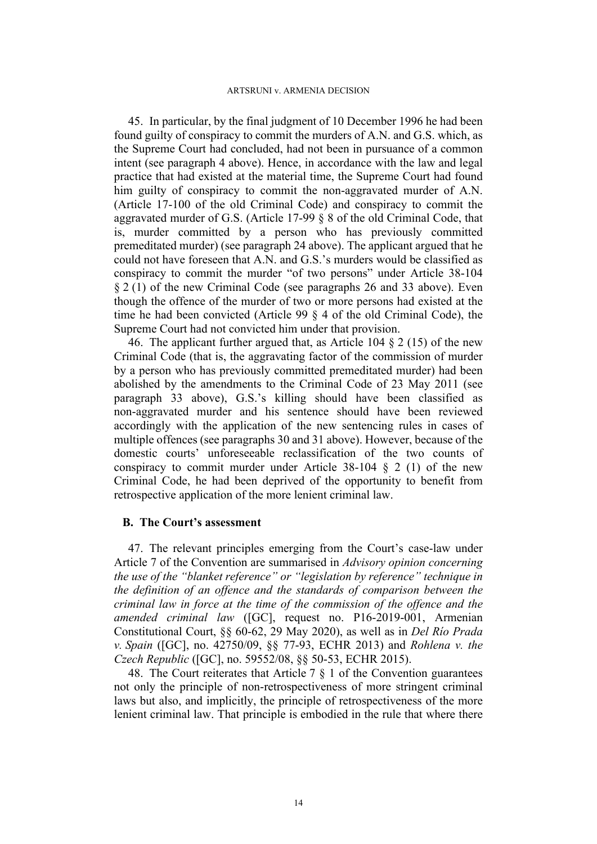45. In particular, by the final judgment of 10 December 1996 he had been found guilty of conspiracy to commit the murders of A.N. and G.S. which, as the Supreme Court had concluded, had not been in pursuance of a common intent (see paragraph [4](#page-1-0) above). Hence, in accordance with the law and legal practice that had existed at the material time, the Supreme Court had found him guilty of conspiracy to commit the non-aggravated murder of A.N. (Article 17-100 of the old Criminal Code) and conspiracy to commit the aggravated murder of G.S. (Article 17-99  $\S$  8 of the old Criminal Code, that is, murder committed by a person who has previously committed premeditated murder) (see paragraph [24](#page-7-0) above). The applicant argued that he could not have foreseen that A.N. and G.S.'s murders would be classified as conspiracy to commit the murder "of two persons" under Article 38-104 § 2 (1) of the new Criminal Code (see paragraphs [26](#page-8-0) and [33](#page-10-0) above). Even though the offence of the murder of two or more persons had existed at the time he had been convicted (Article 99 § 4 of the old Criminal Code), the Supreme Court had not convicted him under that provision.

46. The applicant further argued that, as Article 104 § 2 (15) of the new Criminal Code (that is, the aggravating factor of the commission of murder by a person who has previously committed premeditated murder) had been abolished by the amendments to the Criminal Code of 23 May 2011 (see paragraph [33](#page-10-0) above), G.S.'s killing should have been classified as non-aggravated murder and his sentence should have been reviewed accordingly with the application of the new sentencing rules in cases of multiple offences (see paragraphs [30](#page-10-2) and [31](#page-10-3) above). However, because of the domestic courts' unforeseeable reclassification of the two counts of conspiracy to commit murder under Article 38-104 § 2 (1) of the new Criminal Code, he had been deprived of the opportunity to benefit from retrospective application of the more lenient criminal law.

### **B. The Court's assessment**

47. The relevant principles emerging from the Court's case-law under Article 7 of the Convention are summarised in *Advisory opinion concerning the use of the "blanket reference" or "legislation by reference" technique in the definition of an offence and the standards of comparison between the criminal law in force at the time of the commission of the offence and the amended criminal law* ([GC], request no. P16-2019-001, Armenian Constitutional Court, §§ 60-62, 29 May 2020), as well as in *Del Río Prada v. Spain* ([GC], no. 42750/09, §§ 77-93, ECHR 2013) and *Rohlena v. the Czech Republic* ([GC], no. 59552/08, §§ 50-53, ECHR 2015).

<span id="page-13-0"></span>48. The Court reiterates that Article 7 § 1 of the Convention guarantees not only the principle of non-retrospectiveness of more stringent criminal laws but also, and implicitly, the principle of retrospectiveness of the more lenient criminal law. That principle is embodied in the rule that where there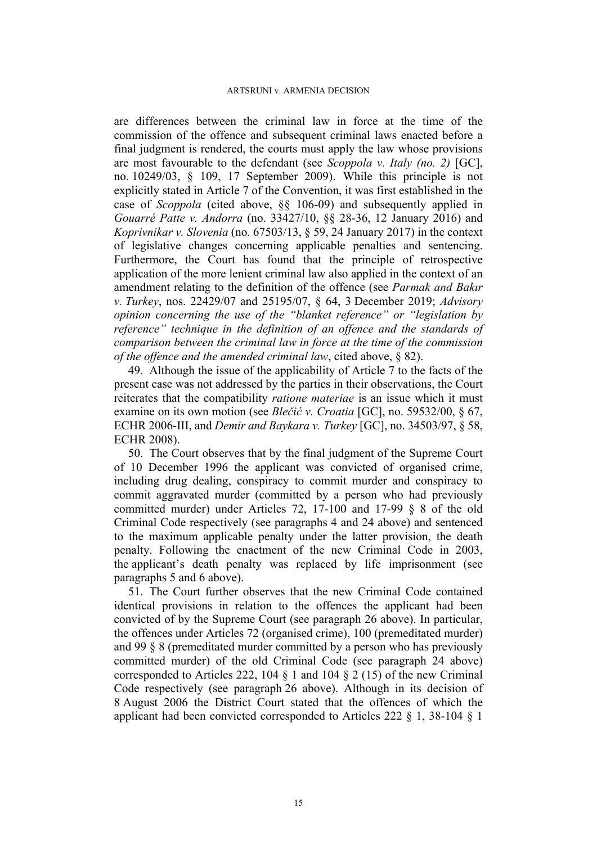are differences between the criminal law in force at the time of the commission of the offence and subsequent criminal laws enacted before a final judgment is rendered, the courts must apply the law whose provisions are most favourable to the defendant (see *Scoppola v. Italy (no. 2)* [GC], no. 10249/03, § 109, 17 September 2009). While this principle is not explicitly stated in Article 7 of the Convention, it was first established in the case of *Scoppola* (cited above, §§ 106-09) and subsequently applied in *Gouarré Patte v. Andorra* (no. [33427/10](https://hudoc.echr.coe.int/eng#%7B%22appno%22:%5B%2233427/10%22%5D%7D), §§ 28-36, 12 January 2016) and *Koprivnikar v. Slovenia* (no. [67503/13,](https://hudoc.echr.coe.int/eng#%7B%22appno%22:%5B%2267503/13%22%5D%7D) § 59, 24 January 2017) in the context of legislative changes concerning applicable penalties and sentencing. Furthermore, the Court has found that the principle of retrospective application of the more lenient criminal law also applied in the context of an amendment relating to the definition of the offence (see *Parmak and Bakır v. Turkey*, nos. 22429/07 and 25195/07, § 64, 3 December 2019; *Advisory opinion concerning the use of the "blanket reference" or "legislation by reference" technique in the definition of an offence and the standards of comparison between the criminal law in force at the time of the commission of the offence and the amended criminal law*, cited above, § 82).

49. Although the issue of the applicability of Article 7 to the facts of the present case was not addressed by the parties in their observations, the Court reiterates that the compatibility *ratione materiae* is an issue which it must examine on its own motion (see *Blečić v. Croatia* [GC], no. 59532/00, § 67, ECHR 2006-III, and *Demir and Baykara v. Turkey* [GC], no. 34503/97, § 58, ECHR 2008).

50. The Court observes that by the final judgment of the Supreme Court of 10 December 1996 the applicant was convicted of organised crime, including drug dealing, conspiracy to commit murder and conspiracy to commit aggravated murder (committed by a person who had previously committed murder) under Articles 72, 17-100 and 17-99 § 8 of the old Criminal Code respectively (see paragraphs [4](#page-1-0) and [24](#page-7-0) above) and sentenced to the maximum applicable penalty under the latter provision, the death penalty. Following the enactment of the new Criminal Code in 2003, the applicant's death penalty was replaced by life imprisonment (see paragraphs [5](#page-2-1) and [6](#page-2-2) above).

51. The Court further observes that the new Criminal Code contained identical provisions in relation to the offences the applicant had been convicted of by the Supreme Court (see paragraph [26](#page-8-0) above). In particular, the offences under Articles 72 (organised crime), 100 (premeditated murder) and 99 § 8 (premeditated murder committed by a person who has previously committed murder) of the old Criminal Code (see paragraph [24](#page-7-0) above) corresponded to Articles 222, 104 § 1 and 104 § 2 (15) of the new Criminal Code respectively (see paragraph [26](#page-8-0) above). Although in its decision of 8 August 2006 the District Court stated that the offences of which the applicant had been convicted corresponded to Articles 222 § 1, 38-104 § 1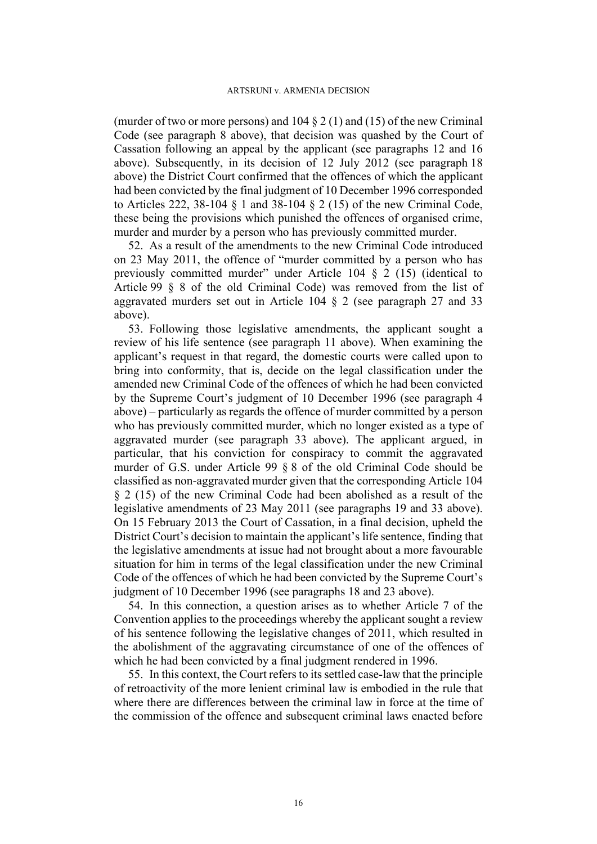(murder of two or more persons) and  $104 \tbinom{2}{1}$  and  $(15)$  of the new Criminal Code (see paragraph [8](#page-2-0) above), that decision was quashed by the Court of Cassation following an appeal by the applicant (see paragraphs [12](#page-3-2) and [16](#page-3-4)  above). Subsequently, in its decision of 12 July 2012 (see paragraph [18](#page-4-0)  above) the District Court confirmed that the offences of which the applicant had been convicted by the final judgment of 10 December 1996 corresponded to Articles 222, 38-104 § 1 and 38-104 § 2 (15) of the new Criminal Code, these being the provisions which punished the offences of organised crime, murder and murder by a person who has previously committed murder.

52. As a result of the amendments to the new Criminal Code introduced on 23 May 2011, the offence of "murder committed by a person who has previously committed murder" under Article 104 § 2 (15) (identical to Article 99 § 8 of the old Criminal Code) was removed from the list of aggravated murders set out in Article 104 § 2 (see paragraph [27](#page-9-0) and [33](#page-10-0)  above).

53. Following those legislative amendments, the applicant sought a review of his life sentence (see paragraph [11](#page-3-1) above). When examining the applicant's request in that regard, the domestic courts were called upon to bring into conformity, that is, decide on the legal classification under the amended new Criminal Code of the offences of which he had been convicted by the Supreme Court's judgment of 10 December 1996 (see paragraph [4](#page-1-0)  above) – particularly as regards the offence of murder committed by a person who has previously committed murder, which no longer existed as a type of aggravated murder (see paragraph [33](#page-10-0) above). The applicant argued, in particular, that his conviction for conspiracy to commit the aggravated murder of G.S. under Article 99 § 8 of the old Criminal Code should be classified as non-aggravated murder given that the corresponding Article 104 § 2 (15) of the new Criminal Code had been abolished as a result of the legislative amendments of 23 May 2011 (see paragraphs [19](#page-5-0) and [33](#page-10-0) above). On 15 February 2013 the Court of Cassation, in a final decision, upheld the District Court's decision to maintain the applicant's life sentence, finding that the legislative amendments at issue had not brought about a more favourable situation for him in terms of the legal classification under the new Criminal Code of the offences of which he had been convicted by the Supreme Court's judgment of 10 December 1996 (see paragraphs [18](#page-4-0) and [23](#page-6-0) above).

54. In this connection, a question arises as to whether Article 7 of the Convention applies to the proceedings whereby the applicant sought a review of his sentence following the legislative changes of 2011, which resulted in the abolishment of the aggravating circumstance of one of the offences of which he had been convicted by a final judgment rendered in 1996.

<span id="page-15-0"></span>55. In this context, the Court refers to its settled case-law that the principle of retroactivity of the more lenient criminal law is embodied in the rule that where there are differences between the criminal law in force at the time of the commission of the offence and subsequent criminal laws enacted before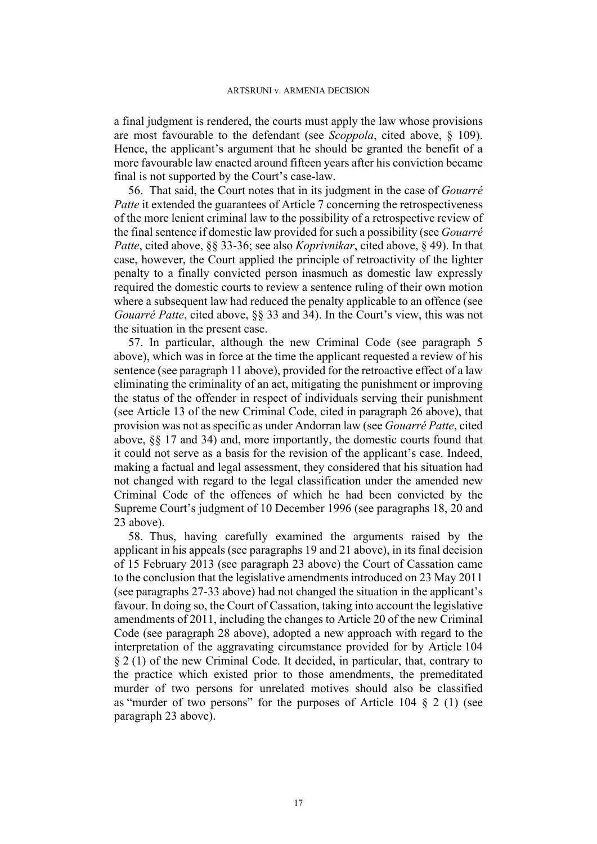a final judgment is rendered, the courts must apply the law whose provisions are most favourable to the defendant (see *Scoppola*, cited above, § 109). Hence, the applicant's argument that he should be granted the benefit of a more favourable law enacted around fifteen years after his conviction became final is not supported by the Court's case-law.

56. That said, the Court notes that in its judgment in the case of *Gouarré Patte* it extended the guarantees of Article 7 concerning the retrospectiveness of the more lenient criminal law to the possibility of a retrospective review of the final sentence if domestic law provided for such a possibility (see *Gouarré Patte*, cited above, §§ 33-36; see also *Koprivnikar*, cited above, § 49). In that case, however, the Court applied the principle of retroactivity of the lighter penalty to a finally convicted person inasmuch as domestic law expressly required the domestic courts to review a sentence ruling of their own motion where a subsequent law had reduced the penalty applicable to an offence (see *Gouarré Patte*, cited above, §§ 33 and 34). In the Court's view, this was not the situation in the present case.

57. In particular, although the new Criminal Code (see paragraph [5](#page-2-1)  above), which was in force at the time the applicant requested a review of his sentence (see paragraph [11](#page-3-1) above), provided for the retroactive effect of a law eliminating the criminality of an act, mitigating the punishment or improving the status of the offender in respect of individuals serving their punishment (see Article 13 of the new Criminal Code, cited in paragraph [26](#page-8-0) above), that provision was not as specific as under Andorran law (see *Gouarré Patte*, cited above, §§ 17 and 34) and, more importantly, the domestic courts found that it could not serve as a basis for the revision of the applicant's case. Indeed, making a factual and legal assessment, they considered that his situation had not changed with regard to the legal classification under the amended new Criminal Code of the offences of which he had been convicted by the Supreme Court's judgment of 10 December 1996 (see paragraphs [18](#page-4-0), [20](#page-5-1) and [23](#page-6-0) above).

58. Thus, having carefully examined the arguments raised by the applicant in his appeals (see paragraphs [19](#page-5-0) and [21](#page-6-1) above), in its final decision of 15 February 2013 (see paragraph [23](#page-6-0) above) the Court of Cassation came to the conclusion that the legislative amendments introduced on 23 May 2011 (see paragraphs [27](#page-9-0)[-33](#page-10-0) above) had not changed the situation in the applicant's favour. In doing so, the Court of Cassation, taking into account the legislative amendments of 2011, including the changes to Article 20 of the new Criminal Code (see paragraph [28](#page-9-1) above), adopted a new approach with regard to the interpretation of the aggravating circumstance provided for by Article 104 § 2 (1) of the new Criminal Code. It decided, in particular, that, contrary to the practice which existed prior to those amendments, the premeditated murder of two persons for unrelated motives should also be classified as "murder of two persons" for the purposes of Article 104 § 2 (1) (see paragraph [23](#page-6-0) above).